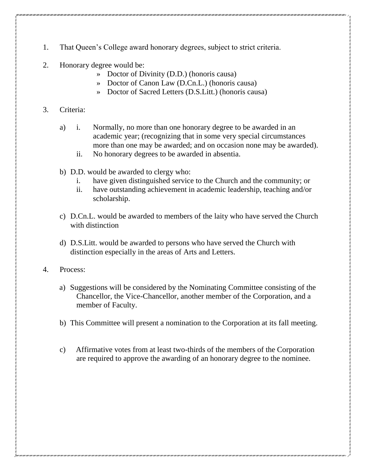- 1. That Queen's College award honorary degrees, subject to strict criteria.
- 2. Honorary degree would be:
	- » Doctor of Divinity (D.D.) (honoris causa)
	- » Doctor of Canon Law (D.Cn.L.) (honoris causa)
	- » Doctor of Sacred Letters (D.S.Litt.) (honoris causa)

## 3. Criteria:

- a) i. Normally, no more than one honorary degree to be awarded in an academic year; (recognizing that in some very special circumstances more than one may be awarded; and on occasion none may be awarded).
	- ii. No honorary degrees to be awarded in absentia.
- b) D.D. would be awarded to clergy who:
	- i. have given distinguished service to the Church and the community; or
	- ii. have outstanding achievement in academic leadership, teaching and/or scholarship.
- c) D.Cn.L. would be awarded to members of the laity who have served the Church with distinction
- d) D.S.Litt. would be awarded to persons who have served the Church with distinction especially in the areas of Arts and Letters.
- 4. Process:
	- a) Suggestions will be considered by the Nominating Committee consisting of the Chancellor, the Vice-Chancellor, another member of the Corporation, and a member of Faculty.
	- b) This Committee will present a nomination to the Corporation at its fall meeting.
	- c) Affirmative votes from at least two-thirds of the members of the Corporation are required to approve the awarding of an honorary degree to the nominee.